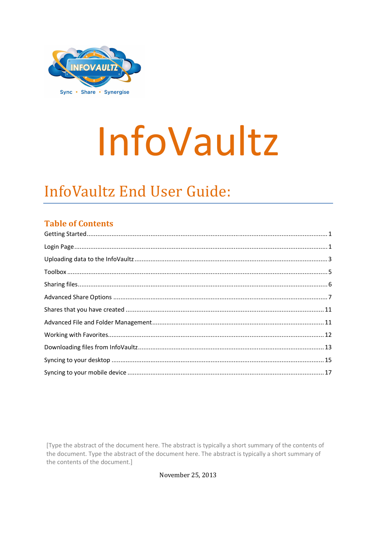

# InfoVaultz

# **InfoVaultz End User Guide:**

#### **Table of Contents**

[Type the abstract of the document here. The abstract is typically a short summary of the contents of the document. Type the abstract of the document here. The abstract is typically a short summary of the contents of the document.]

November 25, 2013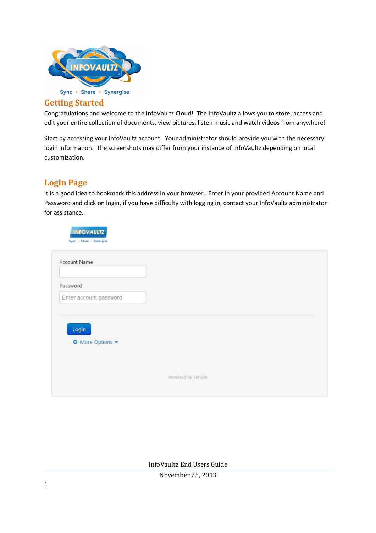

#### **Getting Started**

Congratulations and welcome to the InfoVaultz Cloud! The InfoVaultz allows you to store, access and edit your entire collection of documents, view pictures, listen music and watch videos from anywhere!

Start by accessing your InfoVaultz account. Your administrator should provide you with the necessary login information. The screenshots may differ from your instance of InfoVaultz depending on local customization.

#### **Login Page**

It is a good idea to bookmark this address in your browser. Enter in your provided Account Name and Password and click on login, if you have difficulty with logging in, contact your InfoVaultz administrator for assistance.

| Account Name              |  |  |
|---------------------------|--|--|
| Password                  |  |  |
| Enter account password    |  |  |
|                           |  |  |
| Login<br>O More Options - |  |  |
|                           |  |  |
|                           |  |  |
|                           |  |  |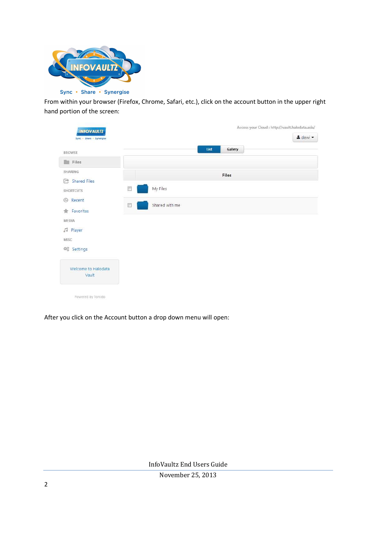

From within your browser (Firefox, Chrome, Safari, etc.), click on the account button in the upper right hand portion of the screen:

|                              |   |                | List | Gallery |  |
|------------------------------|---|----------------|------|---------|--|
| <b>BROWSE</b>                |   |                |      |         |  |
| Files                        |   |                |      |         |  |
| SHARING                      |   |                |      | Files   |  |
| Shared Files                 |   |                |      |         |  |
| <b>SHORTCUTS</b>             | U | My Files       |      |         |  |
| <b>4</b> Recent              |   |                |      |         |  |
| Favorites                    | E | Shared with me |      |         |  |
| MEDIA                        |   |                |      |         |  |
| <b>J</b> Player              |   |                |      |         |  |
| MISC                         |   |                |      |         |  |
| 6% Settings                  |   |                |      |         |  |
| Welcome to Halodata<br>Vault |   |                |      |         |  |

After you click on the Account button a drop down menu will open: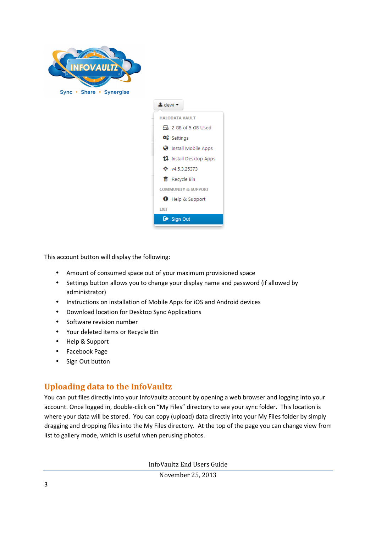



This account button will display the following:

- Amount of consumed space out of your maximum provisioned space
- Settings button allows you to change your display name and password (if allowed by administrator)
- Instructions on installation of Mobile Apps for iOS and Android devices
- Download location for Desktop Sync Applications
- Software revision number
- Your deleted items or Recycle Bin
- Help & Support
- Facebook Page
- Sign Out button

#### **Uploading data to the InfoVaultz**

You can put files directly into your InfoVaultz account by opening a web browser and logging into your account. Once logged in, double-click on "My Files" directory to see your sync folder. This location is where your data will be stored. You can copy (upload) data directly into your My Files folder by simply dragging and dropping files into the My Files directory. At the top of the page you can change view from list to gallery mode, which is useful when perusing photos.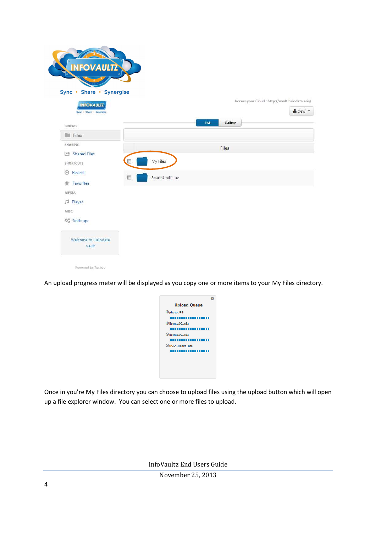| <b>INFOVAULTZ</b>                             |                |                 |                                                 |
|-----------------------------------------------|----------------|-----------------|-------------------------------------------------|
| Sync • Share • Synergise<br><b>INFOVAULTZ</b> |                |                 | Access your Cloud : http://vault.halodata.asia/ |
| Sync - Share - Synergise<br><b>BROWSE</b>     |                | List<br>Gallery | & dewi -                                        |
| <b>Files</b>                                  |                |                 |                                                 |
| SHARING                                       |                | <b>Files</b>    |                                                 |
| Shared Files<br><b>SHORTCUTS</b>              | My Files       |                 |                                                 |
| <b>B</b> Recent<br>同                          | Shared with me |                 |                                                 |
| Favorites<br>÷                                |                |                 |                                                 |
| MEDIA<br>JJ Player                            |                |                 |                                                 |
| MISC                                          |                |                 |                                                 |
| 韓 Settings                                    |                |                 |                                                 |
| Welcome to Halodata<br>Vault                  |                |                 |                                                 |
| Powered by Tonido                             |                |                 |                                                 |

An upload progress meter will be displayed as you copy one or more items to your My Files directory.

| <b>Upload Queue</b>     |  |
|-------------------------|--|
| <b><i>®photoJPG</i></b> |  |
| @license.00_e3a         |  |
| ®license.00 e5a<br>.    |  |
| <b>@USGS-Denve_nse</b>  |  |
|                         |  |
|                         |  |
|                         |  |

Once in you're My Files directory you can choose to upload files using the upload button which will open up a file explorer window. You can select one or more files to upload.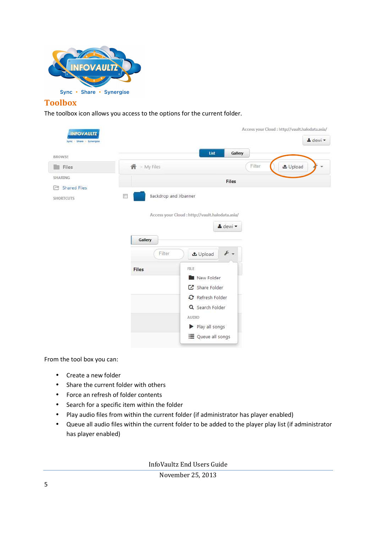

#### **Toolbox**

The toolbox icon allows you access to the options for the current folder.

| <b>BROWSE</b>           |                          | List                                                                                                                             | Gallery                     |                                             |
|-------------------------|--------------------------|----------------------------------------------------------------------------------------------------------------------------------|-----------------------------|---------------------------------------------|
| Files<br>m              | 叠 > My Files             |                                                                                                                                  | Filter                      | <b>土</b> Upload<br>$\overline{\phantom{a}}$ |
| SHARING<br>Shared Files |                          |                                                                                                                                  | Files                       |                                             |
| r.<br><b>SHORTCUTS</b>  | IV.<br>Gallery<br>Filter | Backdrop and Xbanner<br>Access your Cloud : http://vault.halodata.asia/<br><b>土</b> Upload                                       | & dewi -<br>$\mathcal{F}$ - |                                             |
|                         | <b>Files</b>             | <b>FILE</b><br>New Folder<br>Share Folder<br>C Refresh Folder<br>Q Search Folder<br>AUDIO<br>Play all songs<br>三 Queue all songs |                             |                                             |

From the tool box you can:

- Create a new folder
- Share the current folder with others
- Force an refresh of folder contents
- Search for a specific item within the folder
- Play audio files from within the current folder (if administrator has player enabled)
- Queue all audio files within the current folder to be added to the player play list (if administrator has player enabled)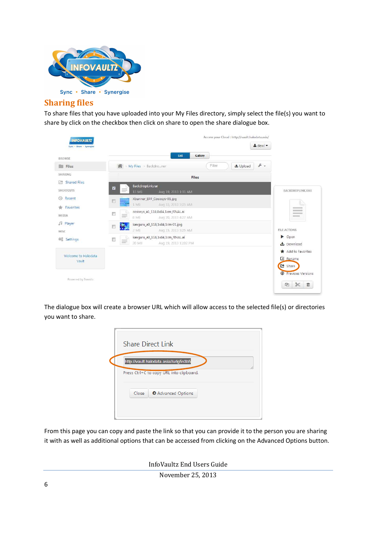

#### **Sharing files**

To share files that you have uploaded into your My Files directory, simply select the file(s) you want to share by click on the checkbox then click on share to open the share dialogue box.

| <b>BROWSE</b>                                                 |                    | List                                                               | Gallery      |                 |                 |                                                   |
|---------------------------------------------------------------|--------------------|--------------------------------------------------------------------|--------------|-----------------|-----------------|---------------------------------------------------|
| <b>THE Files</b>                                              |                    | 备 → My Files > Backdro  ner                                        | Filter       | <b>土 Upload</b> | $\mathcal{F}$ . |                                                   |
| SHARING                                                       |                    |                                                                    | <b>Files</b> |                 |                 |                                                   |
| <b>Shared Files</b><br>$\sim$<br><b>SHORTCUTS</b>             | Z                  | BackdropLink.rar<br>15 MB<br>Aug 19, 2013 1:31 AM                  |              |                 |                 | <b>BACKDROPLINK.RAR</b>                           |
| Recent<br>$\begin{pmatrix} 1 \\ 1 \end{pmatrix}$<br>Favorites |                    | Xbanner_EPP_Cososys-01.jpg<br>1 MB<br>Aug 15, 2013 5:25 AM         |              |                 |                 | $2 - 1$                                           |
| MEDIA                                                         | 题<br>三             | cososys_a1_118,8x84,1cm_FINAL.ai<br>8 MB<br>Aug 20, 2013 4:27 AM   |              |                 |                 | $10 - 10$<br><b>Homework</b><br><b>Simulation</b> |
| Fayer<br>MISC                                                 | ÷,<br>同            | kanguru_a0_118,1x84,1cm-01.jpg<br>$2$ MB<br>Aug 15, 2013 5:25 AM   |              |                 |                 | FILE ACTIONS                                      |
| <b>卷</b> Settings                                             | 圃<br>$\frac{1}{2}$ | kanguru_a0_118,1x84,1cm_FINAL.ai<br>20 MB<br>Aug 19, 2013 11:02 PM |              |                 |                 | Dpen<br>上 Download                                |
| Welcome to Halodata<br>Vault                                  |                    |                                                                    |              |                 |                 | Add to Favorites<br>Z Rename<br>C Share           |

The dialogue box will create a browser URL which will allow access to the selected file(s) or directories you want to share.

| Press Ctrl+C to copy URL into clipboard. |                  |
|------------------------------------------|------------------|
|                                          |                  |
|                                          | Advanced Options |

From this page you can copy and paste the link so that you can provide it to the person you are sharing it with as well as additional options that can be accessed from clicking on the Advanced Options button.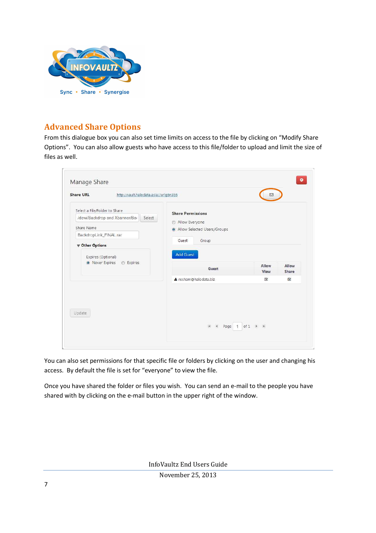

#### **Advanced Share Options**

From this dialogue box you can also set time limits on access to the file by clicking on "Modify Share Options". You can also allow guests who have access to this file/folder to upload and limit the size of files as well.

| <b>Share URL</b><br>http://vault.halodata.asia//urlg5n3b5                                                                                                                                        |                                                                                                                                     | м                                    |                         |
|--------------------------------------------------------------------------------------------------------------------------------------------------------------------------------------------------|-------------------------------------------------------------------------------------------------------------------------------------|--------------------------------------|-------------------------|
| Select a File/Folder to Share<br>/dewi/Backdrop and Xbanner/Ba<br>Select<br>Share Name<br>BackdropLink_FINAL.rar<br><b>V</b> Other Options<br>Expires (Optional)<br>• Never Expires<br>C Expires | <b>Share Permissions</b><br>Allow Everyone<br>$\circ$<br>Allow Selected Users/Groups<br>Guest<br>Group<br><b>Add Guest</b><br>Guest | Allow<br>View                        | Allow<br>Share          |
| Update                                                                                                                                                                                           | & resham@halodata.biz<br>$14 - 4$<br>Page 1                                                                                         | $\overline{\mathbf{v}}$<br>of 1<br>H | $\overline{\mathbf{v}}$ |

You can also set permissions for that specific file or folders by clicking on the user and changing his access. By default the file is set for "everyone" to view the file.

Once you have shared the folder or files you wish. You can send an e-mail to the people you have shared with by clicking on the e-mail button in the upper right of the window.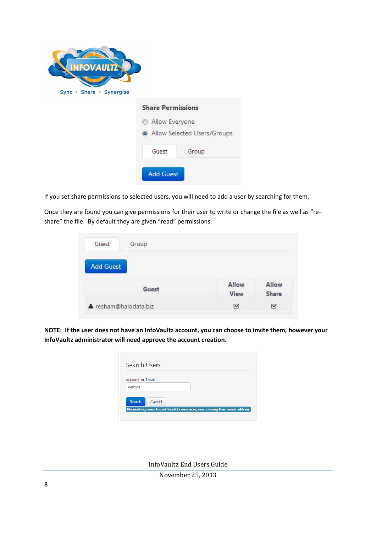| <b>INFOVAULTZ</b><br> ⊜`<br>Sync • Share • Synergise |                             |
|------------------------------------------------------|-----------------------------|
|                                                      | <b>Share Permissions</b>    |
|                                                      | Allow Everyone<br>O         |
|                                                      | Allow Selected Users/Groups |
|                                                      | Guest<br>Group              |
|                                                      | <b>Add Guest</b>            |

If you set share permissions to selected users, you will need to add a user by searching for them.

Once they are found you can give permissions for their user to write or change the file as well as "reshare" the file. By default they are given "read" permissions.

| Guest            | Group |             |       |
|------------------|-------|-------------|-------|
| <b>Add Guest</b> |       |             |       |
|                  | Guest | Allow       | Allow |
|                  |       | <b>View</b> | Share |

**NOTE: If the user does not have an InfoVaultz account, you can choose to invite them, however your InfoVaultz administrator will need approve the account creation.** 

| Search Users            |                                                                              |  |  |
|-------------------------|------------------------------------------------------------------------------|--|--|
|                         |                                                                              |  |  |
| <b>Account or Email</b> |                                                                              |  |  |
| wahyu                   |                                                                              |  |  |
|                         |                                                                              |  |  |
| Search                  | Cancel                                                                       |  |  |
|                         | No existing users found, to add a new user, search using their email address |  |  |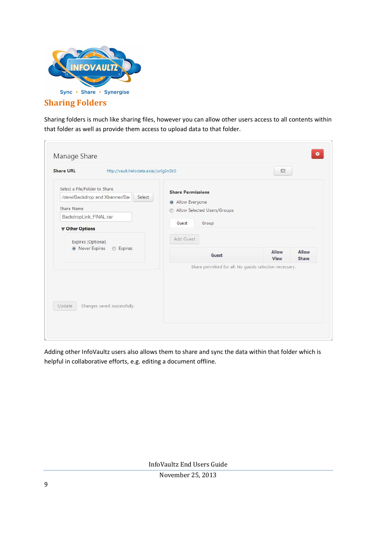

#### **Sharing Folders**

Sharing folders is much like sharing files, however you can allow other users access to all contents within that folder as well as provide them access to upload data to that folder.

| <b>Share URL</b><br>http://vault.halodata.asia//urlg5n3b5                                                                                  |                                                                                                               | ⊠             |                |
|--------------------------------------------------------------------------------------------------------------------------------------------|---------------------------------------------------------------------------------------------------------------|---------------|----------------|
| Select a File/Folder to Share<br>/dewi/Backdrop and Xbanner/Ba<br>Select<br>Share Name<br>BackdropLink_FINAL.rar<br><b>V</b> Other Options | <b>Share Permissions</b><br>Allow Everyone<br>Allow Selected Users/Groups<br>⊛<br>Guest<br>Group<br>Add Guest |               |                |
| Expires (Optional)<br>• Never Expires<br>C Expires                                                                                         | Guest<br>Share permitted for all. No guests selection necessary.                                              | Allow<br>View | Allow<br>Share |
| Update<br>Changes saved successfully.                                                                                                      |                                                                                                               |               |                |

Adding other InfoVaultz users also allows them to share and sync the data within that folder which is helpful in collaborative efforts, e.g. editing a document offline.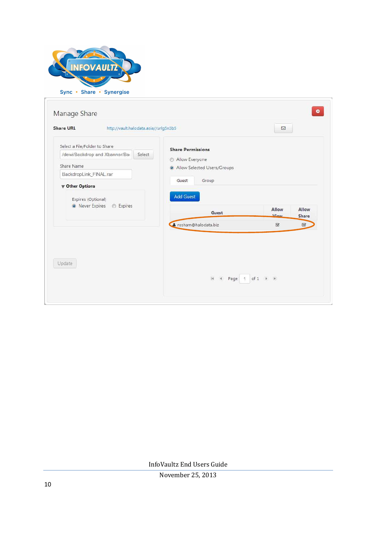

| <b>Share URL</b><br>http://vault.halodata.asia//urlg5n3b5                                                                                                                                         |                                                                                                                          | N                                  |                |
|---------------------------------------------------------------------------------------------------------------------------------------------------------------------------------------------------|--------------------------------------------------------------------------------------------------------------------------|------------------------------------|----------------|
| Select a File/Folder to Share<br>/dewi/Backdrop and Xbanner/Bar<br>Select<br>Share Name<br>BackdropLink_FINAL.rar<br><b>V</b> Other Options<br>Expires (Optional)<br>• Never Expires<br>C Expires | <b>Share Permissions</b><br>Allow Everyone<br>Allow Selected Users/Groups<br>Guest<br>Group<br><b>Add Guest</b><br>Guest | Allow<br><b><i>Miour</i></b>       | Allow<br>Share |
|                                                                                                                                                                                                   | Fesham@halodata.biz                                                                                                      | $\boldsymbol{\nabla}$              | $\boxtimes$    |
| Update                                                                                                                                                                                            | $ 4 - 4 $<br>Page<br>$-1$                                                                                                | of $1$ $\rightarrow$ $\rightarrow$ |                |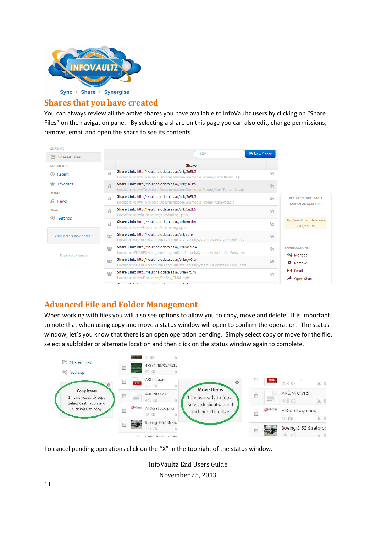

#### **Shares that you have created**

You can always review all the active shares you have available to InfoVaultz users by clicking on "Share Files" on the navigation pane. By selecting a share on this page you can also edit, change permissions, remove, email and open the share to see its contents.

| <b>SHARING</b>                      | Filter                                                                                                                                      |                                                              |
|-------------------------------------|---------------------------------------------------------------------------------------------------------------------------------------------|--------------------------------------------------------------|
| <b>Shared Files</b><br>m            |                                                                                                                                             | <b>Et New Share</b>                                          |
| <b>SHORTCUTS</b>                    | <b>Share</b>                                                                                                                                |                                                              |
| Recent                              | Share Link: http://vault.halodata.asia//urlg5n3b5<br>A<br>Location: /dewi/Toshiba's Documentation/Gramedia Promo/Plaza Bintarzip            | ጣ                                                            |
| Favorites<br><b>MEDIA</b>           | Share Link: http://vault.halodata.asia//urlg5n3b5<br>$\mathbf{a}$<br>Location: /dewi/Toshiba's Documentation/Gramedia Promo/Mall Taman Azip | 的                                                            |
| Player<br>л                         | Share Link: http://vault.halodata.asia//urlq5n3b5<br>A<br>Location: /dewi/Toshiba's Documentation/Gramedia Promo/Karawaci.zip               | <b>PRIVATE SHARE: MALL</b><br>ውገ<br><b>TAMAN ANGGREK.ZIP</b> |
| <b>MISC</b><br>韓<br><b>Settings</b> | Share Link: http://vault.halodata.asia//urlg5n3b5<br>A<br>Location: /dewi/Document/FileSharing2.pptx                                        | ዋነ                                                           |
|                                     | Share Link: http://vault.halodata.asia//urlg5n3b5<br>A<br>Location: /dewi/Document/Filesharing.pptx                                         | http://vault.halodata.asia/<br>ርካ<br>/urlg5n3b5              |
| Your data's new home!!              | Share Link: http://vault.halodata.asia//urlyzbrix<br>125<br>Location: /SHARED/kanguru/KanguruDataSecuritySystem_HalodataA4_Foldnts          | $C_{1}$                                                      |
| <b>Powered by Tonido</b>            | Share Link: http://vault.halodata.asia//urllmcmp4<br>ņц<br>Location: /SHARED/kanguru/KanguruDataSecuritySystem_HalodataA4_Foldnks           | <b>SHARE ACTIONS</b><br>ረትገ<br>\$8 Manage                    |
|                                     | Share Link: http://vault.halodata.asia//urlugw0rw<br>鸞<br>Location: /SHARED/kanguru/KanguruDataSecuritySystem_HalodataA4_Foldndd            | 凸<br>ఴ<br>Remove                                             |
|                                     | Share Link: http://vault.halodata.asia//urlewn5kh<br>щ<br>Location: /dewi/Document/IceBox_FINAL.pptx                                        | 罓<br>Email<br>ጣ<br>≁<br>Open Share                           |

#### **Advanced File and Folder Management**

When working with files you will also see options to allow you to copy, move and delete. It is important to note that when using copy and move a status window will open to confirm the operation. The status window, let's you know that there is an open operation pending. Simply select copy or move for the file, select a subfolder or alternate location and then click on the status window again to complete.



To cancel pending operations click on the "X" in the top right of the status window.

InfoVaultz End Users Guide

November 25, 2013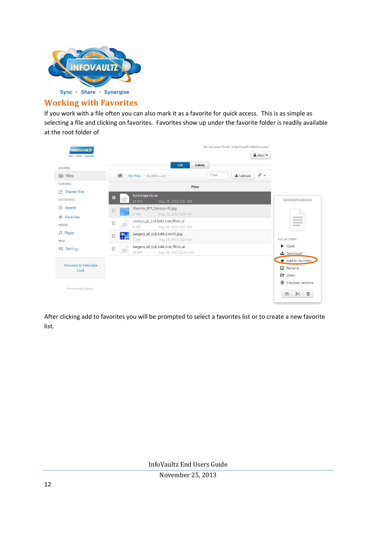

#### **Working with Favorites**

If you work with a file often you can also mark it as a favorite for quick access. This is as simple as selecting a file and clicking on favorites. Favorites show up under the favorite folder is readily available at the root folder of

| BROWSE                           |                                                                                              | List<br>Gallery       |                          |                                                |
|----------------------------------|----------------------------------------------------------------------------------------------|-----------------------|--------------------------|------------------------------------------------|
| <b>THE Files</b>                 | 骨 > My Files > Backdro…ner                                                                   | Filter                | $F -$<br><b>土</b> Upload |                                                |
| SHARING                          |                                                                                              | <b>Files</b>          |                          |                                                |
| Shared Files<br><b>SHORTCUTS</b> | BackdropLink.rar<br>₩<br><b>Homes</b><br>15 MB<br>Aug 19, 2013 1:31 AM                       |                       |                          | BACKDROPLINK.RAR                               |
| Recent<br>$\circ$<br>Favorites   | Xbanner_EPP_Cososys-01.jpg<br>顾<br>1 MB<br>Aug 15, 2013 5:25 AM                              |                       |                          | $27 - 14$                                      |
| MEDIA                            | cososys_a1_118,8x84,1cm_FINAL.ai<br>國<br>$\equiv$<br>8 MB<br>Aug 20, 2013 4:27 AM            |                       |                          | $-1$<br>$rac{1}{2}$<br>$i = 1$                 |
| <b>Fayer</b><br>MISC             | kanguru_a0_118,1x84,1cm-01.jpg<br>Ŷ.<br>圖<br>2MB<br>Aug 15, 2013 5:25 AM                     |                       |                          | <b>FILE ACTIONS</b>                            |
| <b>卷</b> Settings                | kanguru_a0_118,1x84,1cm_FINAL.ai<br>m<br>$\frac{1}{2} \left( \frac{1}{2} \right)^2$<br>20 MB | Aug 19, 2013 11:02 PM |                          | Open<br>▶<br>Download                          |
| Welcome to Halodata<br>Vault     |                                                                                              |                       |                          | Add to Favorites<br><b>■</b> Rename<br>C Share |

After clicking add to favorites you will be prompted to select a favorites list or to create a new favorite list.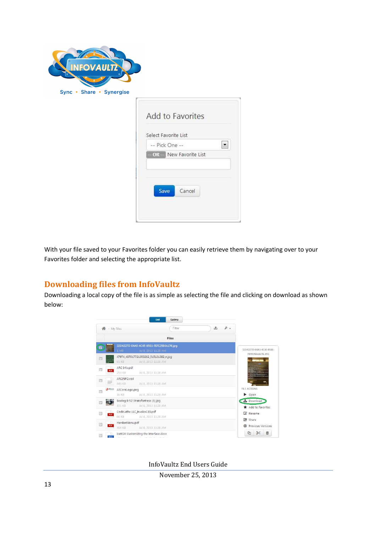| <b>INFOVAULTZ</b><br>Sync • Share • Synergise |                                                                    |
|-----------------------------------------------|--------------------------------------------------------------------|
|                                               | Add to Favorites                                                   |
|                                               | Select Favorite List<br>-- Pick One --<br>$\overline{\phantom{a}}$ |
|                                               | - OR -- New Favorite List<br>Cancel<br>Save                        |

With your file saved to your Favorites folder you can easily retrieve them by navigating over to your Favorites folder and selecting the appropriate list.

#### **Downloading files from InfoVaultz**

Downloading a local copy of the file is as simple as selecting the file and clicking on download as shown below:



November 25, 2013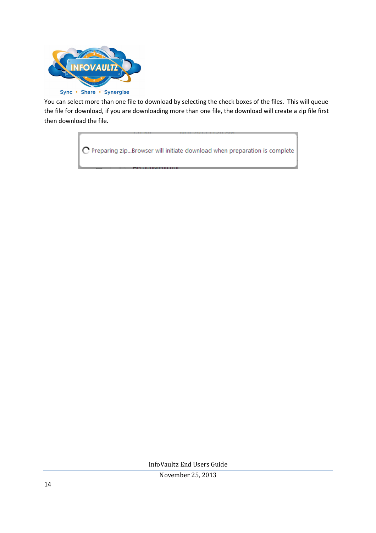

You can select more than one file to download by selecting the check boxes of the files. This will queue the file for download, if you are downloading more than one file, the download will create a zip file first then download the file.

C Preparing zip...Browser will initiate download when preparation is complete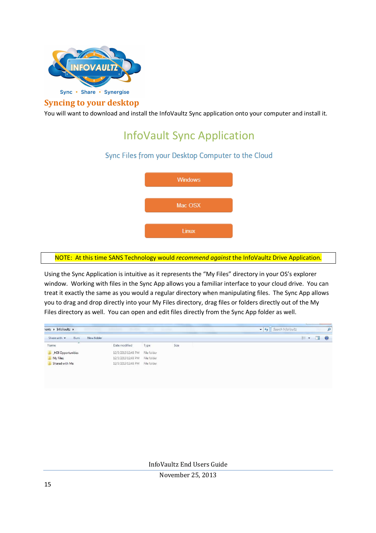

#### **Syncing to your desktop**

You will want to download and install the InfoVaultz Sync application onto your computer and install it.

### InfoVault Sync Application

#### Sync Files from your Desktop Computer to the Cloud



#### NOTE: At this time SANS Technology would *recommend against* the InfoVaultz Drive Application.

Using the Sync Application is intuitive as it represents the "My Files" directory in your OS's explorer window. Working with files in the Sync App allows you a familiar interface to your cloud drive. You can treat it exactly the same as you would a regular directory when manipulating files. The Sync App allows you to drag and drop directly into your My Files directory, drag files or folders directly out of the My Files directory as well. You can open and edit files directly from the Sync App folder as well.

|                   |                    |             |      | <b>距, 団</b> | $\bullet$ |
|-------------------|--------------------|-------------|------|-------------|-----------|
| ×<br>Name         | Date modified      | Type        | Size |             |           |
| HDI Opportunities | 12/3/2013 12:48 PM | File folder |      |             |           |
| My Files          | 12/3/2013 12:48 PM | File folder |      |             |           |
| Shared with Me    | 12/3/2013 12:48 PM | File folder |      |             |           |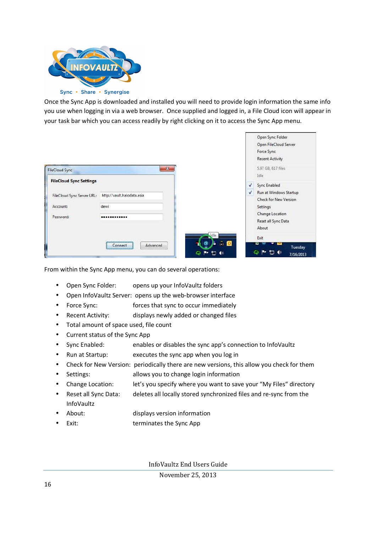

Once the Sync App is downloaded and installed you will need to provide login information the same info you use when logging in via a web browser. Once supplied and logged in, a File Cloud icon will appear in your task bar which you can access readily by right clicking on it to access the Sync App menu.

|                                |                            |                                                                        |              | Open Sync Folder<br>Open FileCloud Server<br>Force Sync<br><b>Recent Activity</b> |
|--------------------------------|----------------------------|------------------------------------------------------------------------|--------------|-----------------------------------------------------------------------------------|
| <b>FileCloud Sync</b>          | $-25$                      |                                                                        |              | 5.97 GB, 617 files<br>Idle:                                                       |
| <b>FileCloud Sync Settings</b> |                            |                                                                        | V            | Sync Enabled                                                                      |
| FileCloud Sync Server URL:     | http://vault.halodata.asia |                                                                        | $\checkmark$ | Run at Windows Startup                                                            |
| Account:                       | dewi                       |                                                                        |              | Check for New Version<br>Settings                                                 |
| Password:                      |                            |                                                                        |              | Change Location<br>Reset all Sync Data                                            |
|                                |                            |                                                                        |              | About                                                                             |
|                                |                            | die                                                                    |              | Exit                                                                              |
|                                | Advanced<br>Connect        | $\mathcal{L}_1$ $\blacksquare$<br>ā<br>$\blacktriangleleft$<br>в,<br>p |              | Tuesday<br>- (1)<br>7/16/2013                                                     |

From within the Sync App menu, you can do several operations:

- Open Sync Folder: opens up your InfoVaultz folders
- Open InfoVaultz Server: opens up the web-browser interface
- Force Sync: forces that sync to occur immediately
- Recent Activity: displays newly added or changed files
- Total amount of space used, file count
- Current status of the Sync App
- Sync Enabled: enables or disables the sync app's connection to InfoVaultz
- Run at Startup: executes the sync app when you log in
- Check for New Version: periodically there are new versions, this allow you check for them
- Settings: allows you to change login information
- Change Location: let's you specify where you want to save your "My Files" directory
- Reset all Sync Data: deletes all locally stored synchronized files and re-sync from the InfoVaultz
- About: displays version information
- Exit: terminates the Sync App